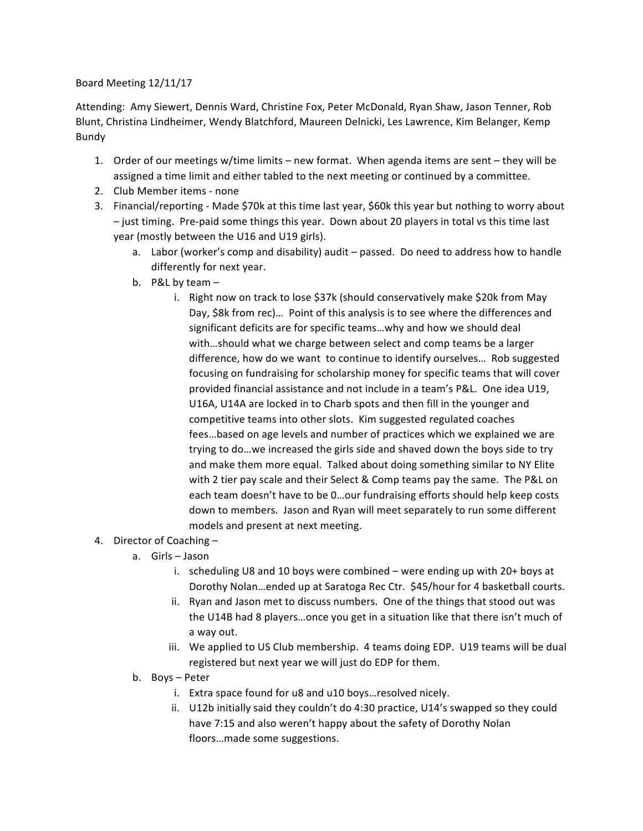## Board Meeting 12/11/17

Attending: Amy Siewert, Dennis Ward, Christine Fox, Peter McDonald, Ryan Shaw, Jason Tenner, Rob Blunt, Christina Lindheimer, Wendy Blatchford, Maureen Delnicki, Les Lawrence, Kim Belanger, Kemp Bundy

- 1. Order of our meetings w/time limits new format. When agenda items are sent they will be assigned a time limit and either tabled to the next meeting or continued by a committee.
- 2. Club Member items none
- 3. Financial/reporting Made \$70k at this time last year, \$60k this year but nothing to worry about - just timing. Pre-paid some things this year. Down about 20 players in total vs this time last year (mostly between the U16 and U19 girls).
	- a. Labor (worker's comp and disability) audit passed. Do need to address how to handle differently for next year.
	- b. P&L by team
		- i. Right now on track to lose \$37k (should conservatively make \$20k from May Day, \$8k from rec)... Point of this analysis is to see where the differences and significant deficits are for specific teams...why and how we should deal with...should what we charge between select and comp teams be a larger difference, how do we want to continue to identify ourselves... Rob suggested focusing on fundraising for scholarship money for specific teams that will cover provided financial assistance and not include in a team's P&L. One idea U19, U16A, U14A are locked in to Charb spots and then fill in the younger and competitive teams into other slots. Kim suggested regulated coaches fees...based on age levels and number of practices which we explained we are trying to do...we increased the girls side and shaved down the boys side to try and make them more equal. Talked about doing something similar to NY Elite with 2 tier pay scale and their Select & Comp teams pay the same. The P&L on each team doesn't have to be 0...our fundraising efforts should help keep costs down to members. Jason and Ryan will meet separately to run some different models and present at next meeting.
- 4. Director of Coaching  $$ 
	- a. Girls Jason
		- i. scheduling U8 and 10 boys were combined  $-$  were ending up with 20+ boys at Dorothy Nolan...ended up at Saratoga Rec Ctr. \$45/hour for 4 basketball courts.
		- ii. Ryan and Jason met to discuss numbers. One of the things that stood out was the U14B had 8 players...once you get in a situation like that there isn't much of a way out.
		- iii. We applied to US Club membership. 4 teams doing EDP. U19 teams will be dual registered but next year we will just do EDP for them.
	- b. Boys Peter
		- i. Extra space found for u8 and u10 boys... resolved nicely.
		- ii. U12b initially said they couldn't do 4:30 practice, U14's swapped so they could have 7:15 and also weren't happy about the safety of Dorothy Nolan floors...made some suggestions.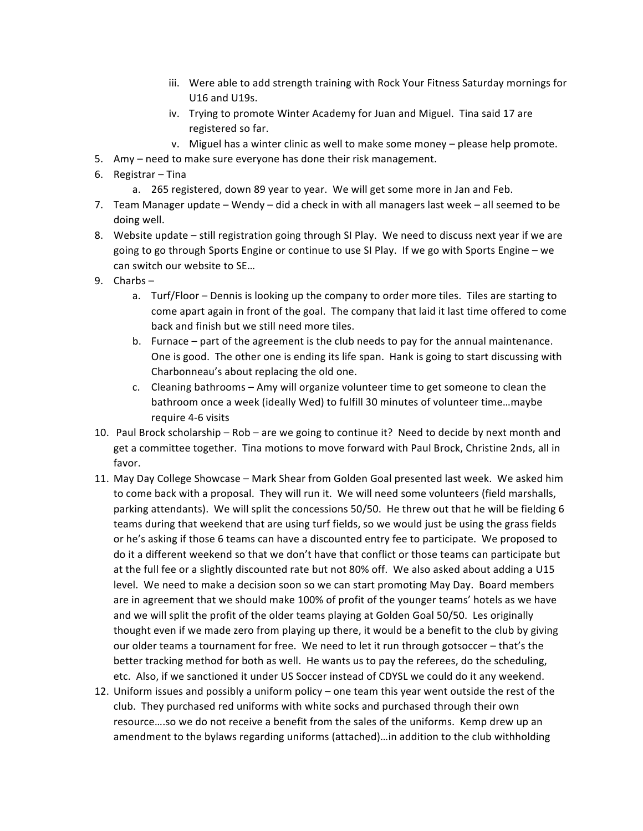- iii. Were able to add strength training with Rock Your Fitness Saturday mornings for U16 and U19s.
- iv. Trying to promote Winter Academy for Juan and Miguel. Tina said 17 are registered so far.
- v. Miguel has a winter clinic as well to make some money please help promote.
- 5. Amy need to make sure everyone has done their risk management.
- 6. Registrar  $-$  Tina
	- a. 265 registered, down 89 year to year. We will get some more in Jan and Feb.
- 7. Team Manager update Wendy did a check in with all managers last week all seemed to be doing well.
- 8. Website update still registration going through SI Play. We need to discuss next year if we are going to go through Sports Engine or continue to use SI Play. If we go with Sports Engine - we can switch our website to SE...
- $9.$  Charbs  $$ 
	- a. Turf/Floor Dennis is looking up the company to order more tiles. Tiles are starting to come apart again in front of the goal. The company that laid it last time offered to come back and finish but we still need more tiles.
	- b. Furnace part of the agreement is the club needs to pay for the annual maintenance. One is good. The other one is ending its life span. Hank is going to start discussing with Charbonneau's about replacing the old one.
	- c. Cleaning bathrooms Amy will organize volunteer time to get someone to clean the bathroom once a week (ideally Wed) to fulfill 30 minutes of volunteer time...maybe require 4-6 visits
- 10. Paul Brock scholarship Rob are we going to continue it? Need to decide by next month and get a committee together. Tina motions to move forward with Paul Brock, Christine 2nds, all in favor.
- 11. May Day College Showcase Mark Shear from Golden Goal presented last week. We asked him to come back with a proposal. They will run it. We will need some volunteers (field marshalls, parking attendants). We will split the concessions 50/50. He threw out that he will be fielding 6 teams during that weekend that are using turf fields, so we would just be using the grass fields or he's asking if those 6 teams can have a discounted entry fee to participate. We proposed to do it a different weekend so that we don't have that conflict or those teams can participate but at the full fee or a slightly discounted rate but not 80% off. We also asked about adding a U15 level. We need to make a decision soon so we can start promoting May Day. Board members are in agreement that we should make 100% of profit of the younger teams' hotels as we have and we will split the profit of the older teams playing at Golden Goal 50/50. Les originally thought even if we made zero from playing up there, it would be a benefit to the club by giving our older teams a tournament for free. We need to let it run through gotsoccer - that's the better tracking method for both as well. He wants us to pay the referees, do the scheduling, etc. Also, if we sanctioned it under US Soccer instead of CDYSL we could do it any weekend.
- 12. Uniform issues and possibly a uniform policy one team this year went outside the rest of the club. They purchased red uniforms with white socks and purchased through their own resource....so we do not receive a benefit from the sales of the uniforms. Kemp drew up an amendment to the bylaws regarding uniforms (attached)…in addition to the club withholding